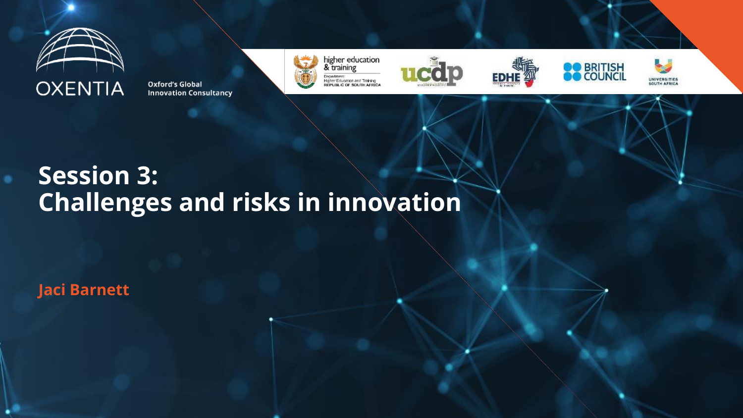

**Oxford's Global Innovation Consultancy** 



higher education<br>& training Department:<br>Higher Education and Training<br>REPUBLIC OF SOUTH AFRICA









#### **Session 3: Challenges and risks in innovation**

**Jaci Barnett**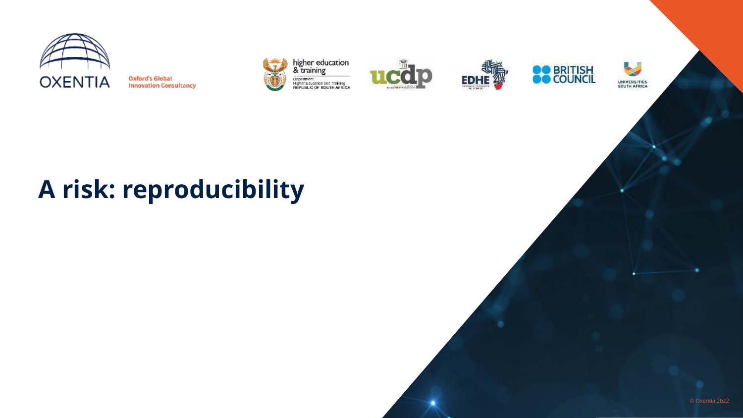

**Oxford's Global Innovation Consultancy** 











# **A risk: reproducibility**

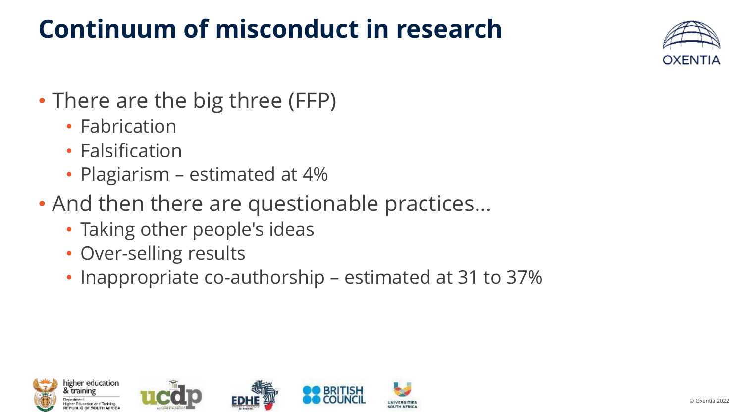# **Continuum of misconduct in research**



- There are the big three (FFP)
	- Fabrication
	- Falsification
	- Plagiarism estimated at 4%
- And then there are questionable practices…
	- Taking other people's ideas
	- Over-selling results
	- Inappropriate co-authorship estimated at 31 to 37%

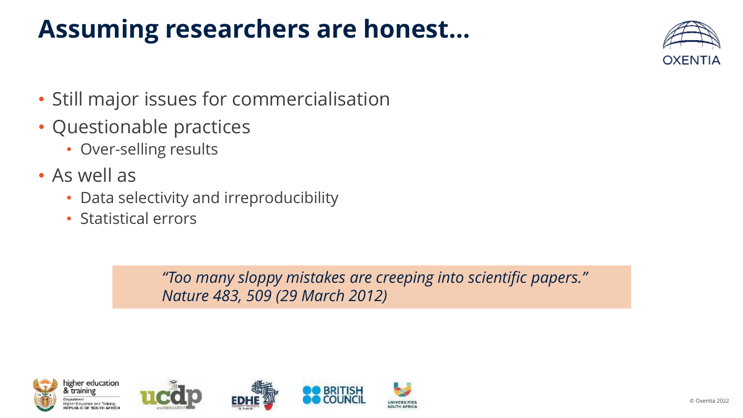# **Assuming researchers are honest…**



- Still major issues for commercialisation
- Questionable practices
	- Over-selling results
- As well as
	- Data selectivity and irreproducibility
	- Statistical errors

*"Too many sloppy mistakes are creeping into scientific papers." Nature 483, 509 (29 March 2012)*

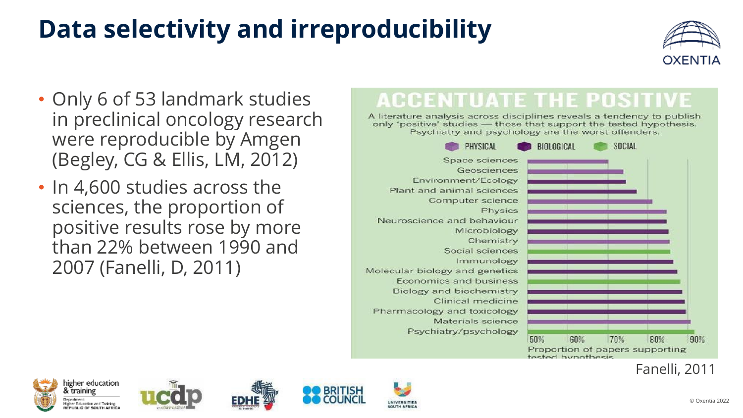# **Data selectivity and irreproducibility**



- Only 6 of 53 landmark studies in preclinical oncology research were reproducible by Amgen (Begley, CG & Ellis, LM, 2012)
- In 4,600 studies across the sciences, the proportion of positive results rose by more than 22% between 1990 and 2007 (Fanelli, D, 2011)

#### **ACCENTUATE THE POSITIVI**

A literature analysis across disciplines reveals a tendency to publish only 'positive' studies - those that support the tested hypothesis. Psychiatry and psychology are the worst offenders.



Fanelli, 2011











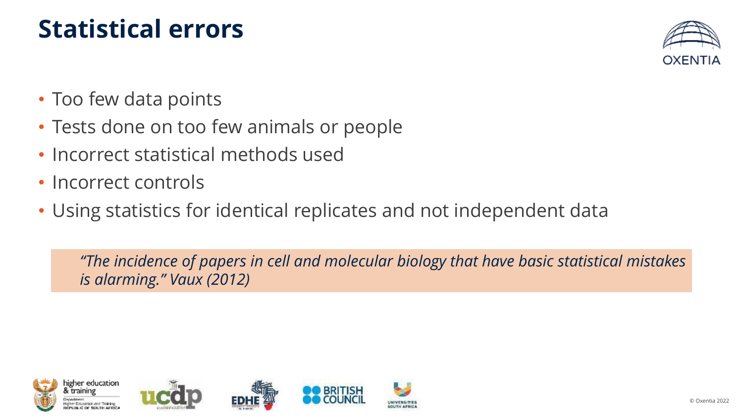### **Statistical errors**



- Too few data points
- Tests done on too few animals or people
- Incorrect statistical methods used
- Incorrect controls
- Using statistics for identical replicates and not independent data

*"The incidence of papers in cell and molecular biology that have basic statistical mistakes is alarming." Vaux (2012)*

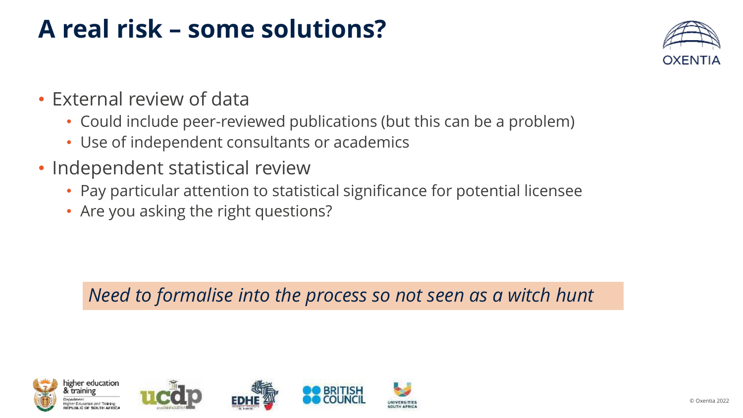### **A real risk – some solutions?**



- External review of data
	- Could include peer-reviewed publications (but this can be a problem)
	- Use of independent consultants or academics
- Independent statistical review
	- Pay particular attention to statistical significance for potential licensee
	- Are you asking the right questions?

*Need to formalise into the process so not seen as a witch hunt*

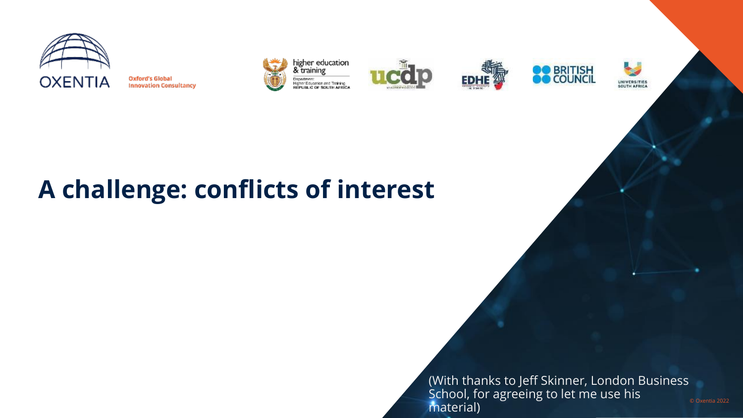

**Oxford's Global Innovation Consultancy** 











(With thanks to Jeff Skinner, London Business School, for agreeing to let me use his material)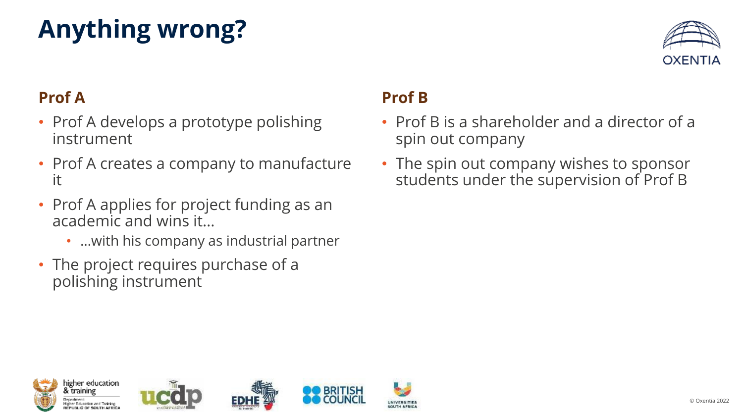# **Anything wrong?**



#### **Prof A**

- Prof A develops a prototype polishing instrument
- Prof A creates a company to manufacture it
- Prof A applies for project funding as an academic and wins it…
	- …with his company as industrial partner
- The project requires purchase of a polishing instrument

#### **Prof B**

- Prof B is a shareholder and a director of a spin out company
- The spin out company wishes to sponsor students under the supervision of Prof B







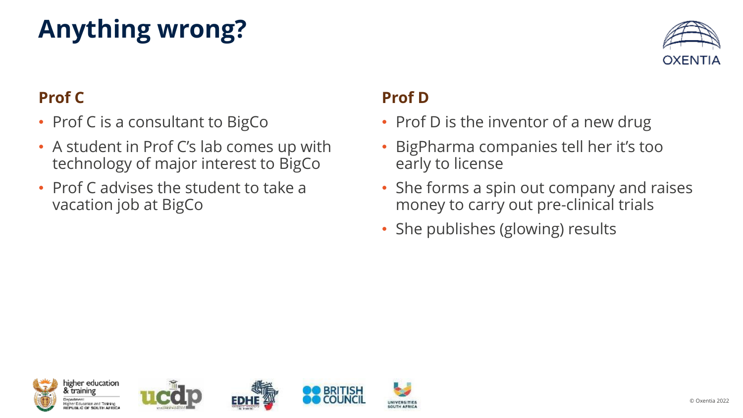# **Anything wrong?**



#### **Prof C**

- Prof C is a consultant to BigCo
- A student in Prof C's lab comes up with technology of major interest to BigCo
- Prof C advises the student to take a vacation job at BigCo

#### **Prof D**

**UNIVERSITIES** 

SOUTH AFRICA

- Prof D is the inventor of a new drug
- BigPharma companies tell her it's too early to license
- She forms a spin out company and raises money to carry out pre-clinical trials
- She publishes (glowing) results

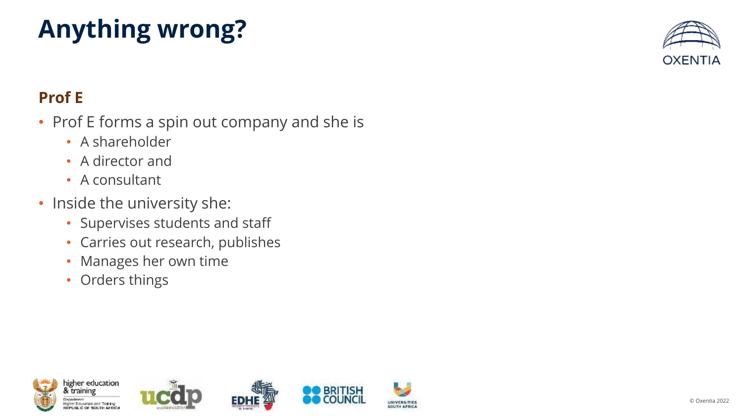# **Anything wrong?**



#### **Prof E**

- Prof E forms a spin out company and she is
	- A shareholder
	- A director and
	- A consultant
- Inside the university she:
	- Supervises students and staff
	- Carries out research, publishes
	- Manages her own time
	- Orders things

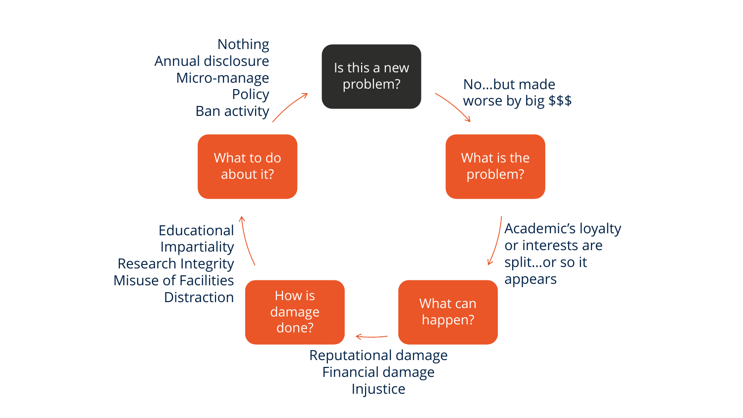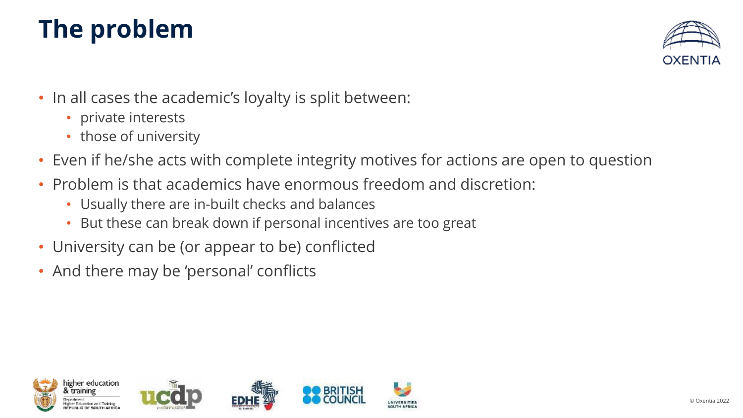# **The problem**



- In all cases the academic's loyalty is split between:
	- private interests
	- those of university
- Even if he/she acts with complete integrity motives for actions are open to question
- Problem is that academics have enormous freedom and discretion:
	- Usually there are in-built checks and balances
	- But these can break down if personal incentives are too great
- University can be (or appear to be) conflicted
- And there may be 'personal' conflicts

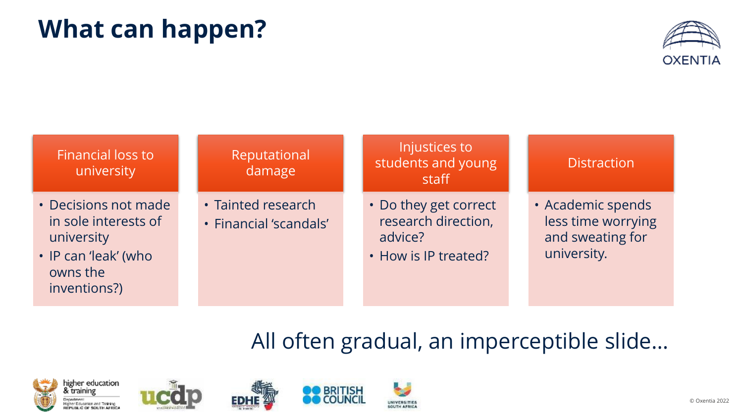### **What can happen?**



#### Financial loss to university • Decisions not made in sole interests of university • IP can 'leak' (who owns the inventions?) Reputational damage • Tainted research • Financial 'scandals' Injustices to students and young staff • Do they get correct research direction, advice? • How is IP treated? **Distraction** • Academic spends less time worrying and sweating for university.

#### All often gradual, an imperceptible slide…









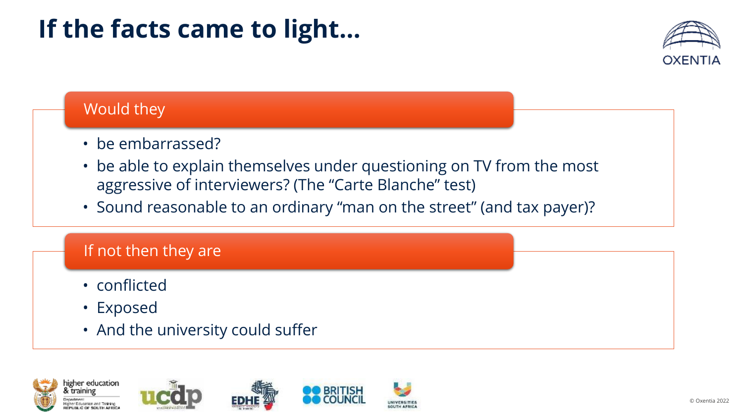## **If the facts came to light…**



#### Would they

- be embarrassed?
- be able to explain themselves under questioning on TV from the most aggressive of interviewers? (The "Carte Blanche" test)
- Sound reasonable to an ordinary "man on the street" (and tax payer)?

#### If not then they are

- conflicted
- Exposed
- And the university could suffer









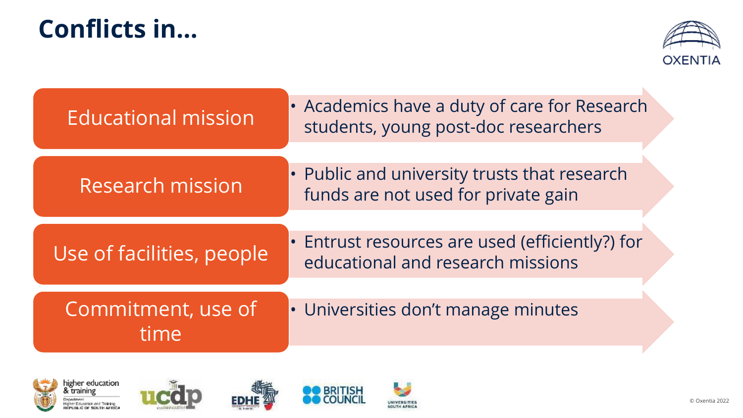### **Conflicts in…**



| <b>Educational mission</b> | • Academics have a duty of care for Research<br>students, young post-doc researchers |
|----------------------------|--------------------------------------------------------------------------------------|
| Research mission           | • Public and university trusts that research<br>funds are not used for private gain  |
| Use of facilities, people  | • Entrust resources are used (efficiently?) for<br>educational and research missions |
| Commitment, use of<br>time | • Universities don't manage minutes                                                  |
|                            |                                                                                      |









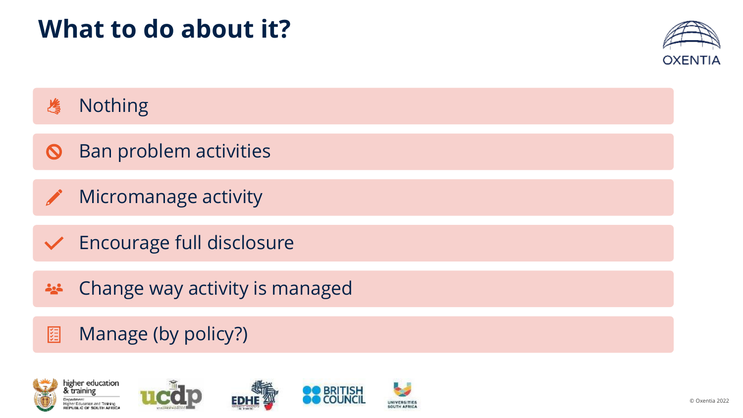

#### Nothing 冶

- Ban problem activities  $\boldsymbol{\mathcal{O}}$
- Micromanage activity
- $\vee$  Encourage full disclosure
- Change way activity is managed **Age**
- Manage (by policy?)图









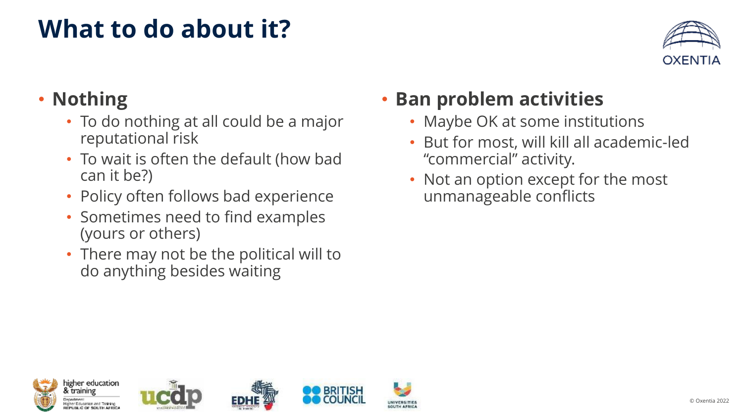

#### • **Nothing**

- To do nothing at all could be a major reputational risk
- To wait is often the default (how bad can it be?)
- Policy often follows bad experience
- Sometimes need to find examples (yours or others)
- There may not be the political will to do anything besides waiting

#### • **Ban problem activities**

- Maybe OK at some institutions
- But for most, will kill all academic-led "commercial" activity.
- Not an option except for the most unmanageable conflicts









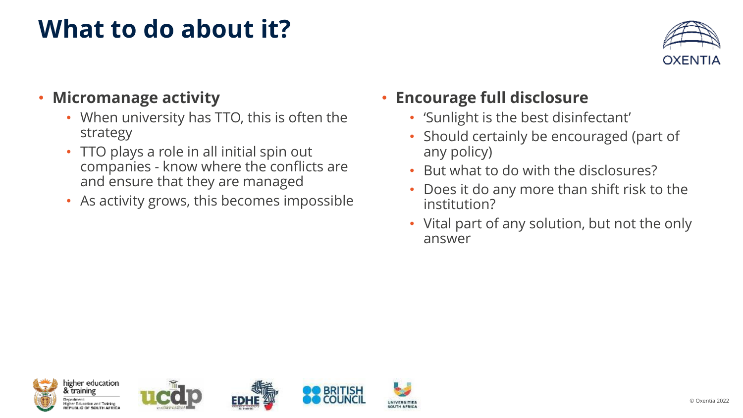

#### • **Micromanage activity**

- When university has TTO, this is often the strategy
- TTO plays a role in all initial spin out companies - know where the conflicts are and ensure that they are managed
- As activity grows, this becomes impossible

#### • **Encourage full disclosure**

**UNIVERSITIES** 

SOUTH AFRICA

- 'Sunlight is the best disinfectant'
- Should certainly be encouraged (part of any policy)
- But what to do with the disclosures?
- Does it do any more than shift risk to the institution?
- Vital part of any solution, but not the only answer

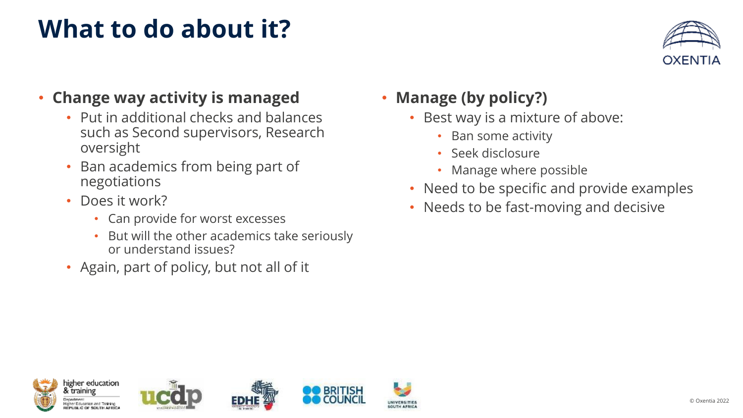

#### • **Change way activity is managed**

- Put in additional checks and balances such as Second supervisors, Research oversight
- Ban academics from being part of negotiations
- Does it work?
	- Can provide for worst excesses
	- But will the other academics take seriously or understand issues?
- Again, part of policy, but not all of it

#### • **Manage (by policy?)**

- Best way is a mixture of above:
	- Ban some activity
	- Seek disclosure
	- Manage where possible
- Need to be specific and provide examples
- Needs to be fast-moving and decisive









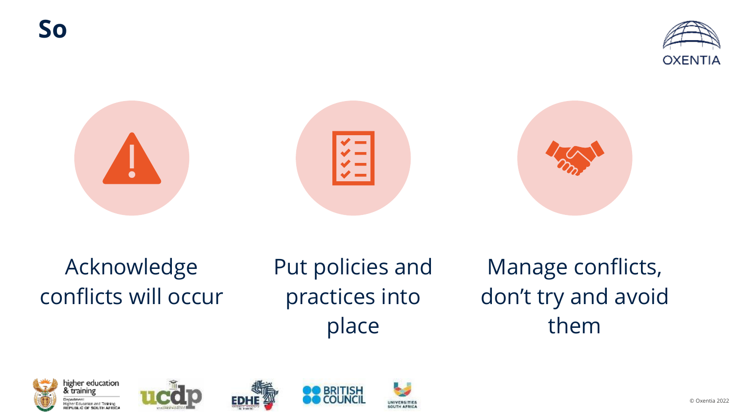



### Acknowledge conflicts will occur

Put policies and practices into place

Manage conflicts, don't try and avoid them









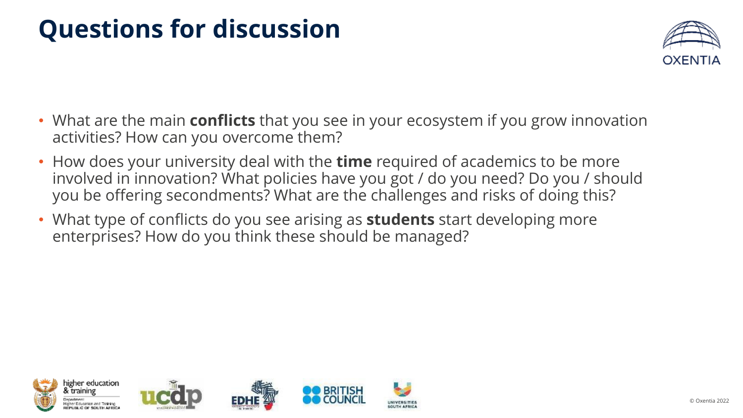# **Questions for discussion**



- What are the main **conflicts** that you see in your ecosystem if you grow innovation activities? How can you overcome them?
- How does your university deal with the **time** required of academics to be more involved in innovation? What policies have you got / do you need? Do you / should you be offering secondments? What are the challenges and risks of doing this?
- What type of conflicts do you see arising as **students** start developing more enterprises? How do you think these should be managed?